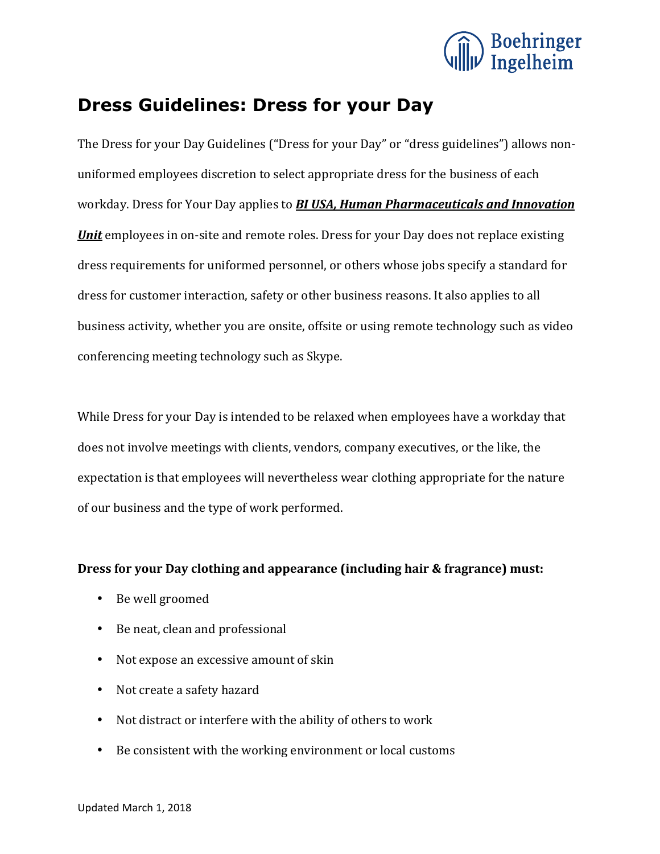

## **Dress Guidelines: Dress for your Day**

The Dress for your Day Guidelines ("Dress for your Day" or "dress guidelines") allows nonuniformed employees discretion to select appropriate dress for the business of each workday. Dress for Your Day applies to **BI USA, Human Pharmaceuticals and Innovation Unit** employees in on-site and remote roles. Dress for your Day does not replace existing dress requirements for uniformed personnel, or others whose jobs specify a standard for dress for customer interaction, safety or other business reasons. It also applies to all business activity, whether you are onsite, offsite or using remote technology such as video conferencing meeting technology such as Skype.

While Dress for your Day is intended to be relaxed when employees have a workday that does not involve meetings with clients, vendors, company executives, or the like, the expectation is that employees will nevertheless wear clothing appropriate for the nature of our business and the type of work performed.

## **Dress for your Day clothing and appearance (including hair & fragrance) must:**

- Be well groomed
- Be neat, clean and professional
- Not expose an excessive amount of skin
- Not create a safety hazard
- Not distract or interfere with the ability of others to work
- Be consistent with the working environment or local customs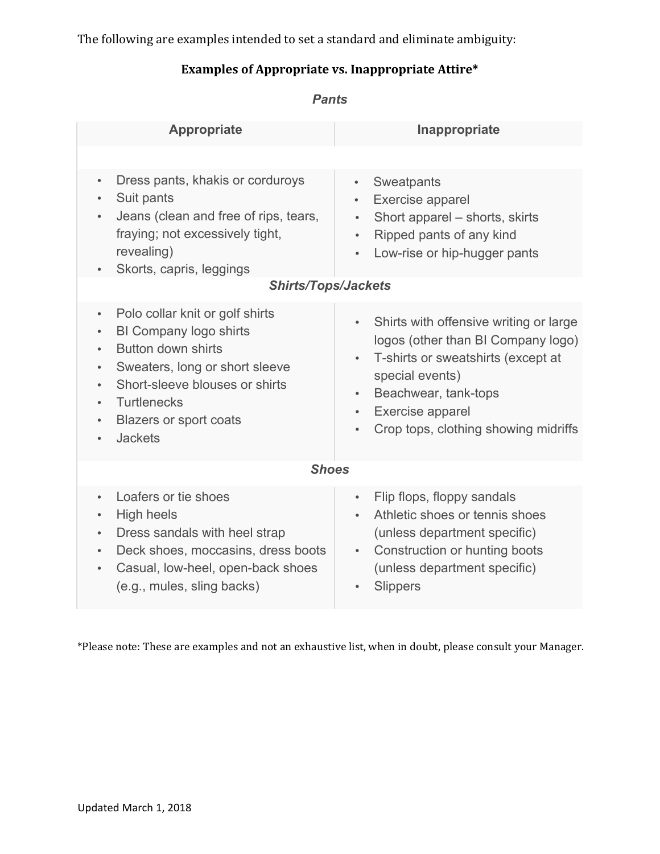The following are examples intended to set a standard and eliminate ambiguity:

## **Examples of Appropriate vs. Inappropriate Attire\***

| <b>Appropriate</b>                                                                                                                                                                                                                                                                                   | Inappropriate                                                                                                                                                                                                                                                                              |
|------------------------------------------------------------------------------------------------------------------------------------------------------------------------------------------------------------------------------------------------------------------------------------------------------|--------------------------------------------------------------------------------------------------------------------------------------------------------------------------------------------------------------------------------------------------------------------------------------------|
|                                                                                                                                                                                                                                                                                                      |                                                                                                                                                                                                                                                                                            |
| Dress pants, khakis or corduroys<br>$\bullet$<br>Suit pants<br>$\bullet$<br>Jeans (clean and free of rips, tears,<br>fraying; not excessively tight,<br>revealing)<br>Skorts, capris, leggings                                                                                                       | Sweatpants<br>$\bullet$<br>Exercise apparel<br>$\bullet$<br>Short apparel – shorts, skirts<br>$\bullet$<br>Ripped pants of any kind<br>$\bullet$<br>Low-rise or hip-hugger pants<br>$\bullet$                                                                                              |
| <b>Shirts/Tops/Jackets</b>                                                                                                                                                                                                                                                                           |                                                                                                                                                                                                                                                                                            |
| Polo collar knit or golf shirts<br>$\bullet$<br><b>BI Company logo shirts</b><br>Button down shirts<br>$\bullet$<br>Sweaters, long or short sleeve<br>Short-sleeve blouses or shirts<br><b>Turtlenecks</b><br>$\bullet$<br><b>Blazers or sport coats</b><br>$\bullet$<br><b>Jackets</b><br>$\bullet$ | Shirts with offensive writing or large<br>$\bullet$<br>logos (other than BI Company logo)<br>T-shirts or sweatshirts (except at<br>$\bullet$<br>special events)<br>Beachwear, tank-tops<br>$\bullet$<br>Exercise apparel<br>$\bullet$<br>Crop tops, clothing showing midriffs<br>$\bullet$ |
| <b>Shoes</b>                                                                                                                                                                                                                                                                                         |                                                                                                                                                                                                                                                                                            |
| Loafers or tie shoes<br><b>High heels</b><br>$\bullet$<br>Dress sandals with heel strap<br>$\bullet$<br>Deck shoes, moccasins, dress boots<br>Casual, low-heel, open-back shoes<br>$\bullet$<br>(e.g., mules, sling backs)                                                                           | Flip flops, floppy sandals<br>$\bullet$<br>Athletic shoes or tennis shoes<br>$\bullet$<br>(unless department specific)<br>Construction or hunting boots<br>$\bullet$<br>(unless department specific)<br><b>Slippers</b>                                                                    |

\*Please note: These are examples and not an exhaustive list, when in doubt, please consult your Manager.